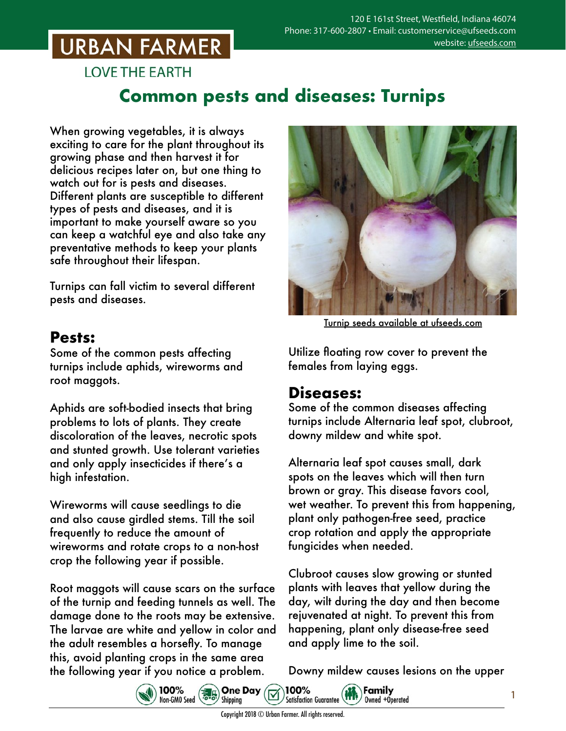## **URBAN FARMER**

**LOVE THE EARTH** 

### **Common pests and diseases: Turnips**

When growing vegetables, it is always exciting to care for the plant throughout its growing phase and then harvest it for delicious recipes later on, but one thing to watch out for is pests and diseases. Different plants are susceptible to different types of pests and diseases, and it is important to make yourself aware so you can keep a watchful eye and also take any preventative methods to keep your plants safe throughout their lifespan.

Turnips can fall victim to several different pests and diseases.

#### **Pests:**

Some of the common pests affecting turnips include aphids, wireworms and root maggots.

Aphids are soft-bodied insects that bring problems to lots of plants. They create discoloration of the leaves, necrotic spots and stunted growth. Use tolerant varieties and only apply insecticides if there's a high infestation.

Wireworms will cause seedlings to die and also cause girdled stems. Till the soil frequently to reduce the amount of wireworms and rotate crops to a non-host crop the following year if possible.

Root maggots will cause scars on the surface of the turnip and feeding tunnels as well. The damage done to the roots may be extensive. The larvae are white and yellow in color and the adult resembles a horsefly. To manage this, avoid planting crops in the same area the following year if you notice a problem.<br>  $\bigotimes_{\text{Non-fibm} \text{ Gand}} \bigotimes_{\text{mod}} \bigotimes_{\text{mod}} \bigotimes_{\text{mod}} \bigotimes_{\text{mod}} \bigotimes_{\text{mod}} \bigotimes_{\text{mod}} \bigotimes_{\text{mod}} \bigotimes_{\text{mod}} \bigotimes_{\text{mod}} \bigotimes_{\text{mod}} \bigotimes_{\text{mod}} \bigotimes_{\text{mod}} \bigotimes_{\text{mod}} \bigotimes_{\text{mod}} \bigotimes_{\text{mod}} \bigotimes_{\$ 



Turnip seeds [available at ufseeds.com](https://www.ufseeds.com/product-category/vegetables/turnips/)

Utilize floating row cover to prevent the females from laying eggs.

#### **Diseases:**

Some of the common diseases affecting turnips include Alternaria leaf spot, clubroot, downy mildew and white spot.

Alternaria leaf spot causes small, dark spots on the leaves which will then turn brown or gray. This disease favors cool, wet weather. To prevent this from happening, plant only pathogen-free seed, practice crop rotation and apply the appropriate fungicides when needed.

Clubroot causes slow growing or stunted plants with leaves that yellow during the day, wilt during the day and then become rejuvenated at night. To prevent this from happening, plant only disease-free seed and apply lime to the soil.

Downy mildew causes lesions on the upper

Owned +Operated

 $\widehat{\mathbf{H}}$  Family



100%